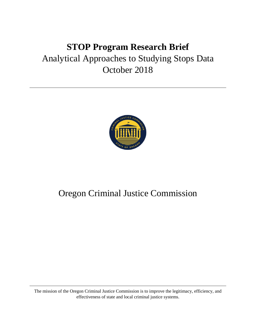# **STOP Program Research Brief** Analytical Approaches to Studying Stops Data October 2018



## Oregon Criminal Justice Commission

The mission of the Oregon Criminal Justice Commission is to improve the legitimacy, efficiency, and effectiveness of state and local criminal justice systems.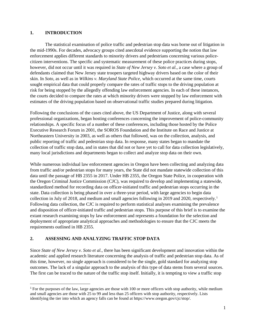#### **1. INTRODUCTION**

The statistical examination of police traffic and pedestrian stop data was borne out of litigation in the mid-1990s. For decades, advocacy groups cited anecdotal evidence supporting the notion that law enforcement applies different standards to minority drivers and pedestrians concerning various policecitizen interventions. The specific and systematic measurement of these police practices during stops, however, did not occur until it was required in *State of New Jersey v. Soto et al.*, a case where a group of defendants claimed that New Jersey state troopers targeted highway drivers based on the color of their skin. In *Soto*, as well as in *Wilkins v. Maryland State Police*, which occurred at the same time, courts sought empirical data that could properly compare the rates of traffic stops to the driving population at risk for being stopped by the allegedly offending law enforcement agencies. In each of these instances, the courts decided to compare the rates at which minority drivers were stopped by law enforcement with estimates of the driving population based on observational traffic studies prepared during litigation.

Following the conclusions of the cases cited above, the US Department of Justice, along with several professional organizations, began hosting conferences concerning the improvement of police-community relationships. A specific focus of a number of these conferences, including those hosted by the Police Executive Research Forum in 2001, the SOROS Foundation and the Institute on Race and Justice at Northeastern University in 2003, as well as others that followed, was on the collection, analysis, and public reporting of traffic and pedestrian stop data. In response, many states began to mandate the collection of traffic stop data, and in states that did not or have yet to call for data collection legislatively, many local jurisdictions and departments began to collect and analyze stop data on their own.

While numerous individual law enforcement agencies in Oregon have been collecting and analyzing data from traffic and/or pedestrian stops for many years, the State did not mandate statewide collection of this data until the passage of HB 2355 in 2017. Under HB 2355, the Oregon State Police, in cooperation with the Oregon Criminal Justice Commission (CJC), was required to develop and implementing a statewide, standardized method for recording data on officer-initiated traffic and pedestrian stops occurring in the state. Data collection is being phased in over a three-year period, with large agencies to begin data collection in July of 20[1](#page-1-0)8, and medium and small agencies following in 2019 and 2020, respectively.<sup>1</sup> Following data collection, the CJC is required to perform statistical analyses examining the prevalence and disposition of officer-initiated traffic and pedestrian stops. This purpose of this brief is to examine the extant research examining stops by law enforcement and represents a foundation for the selection and deployment of appropriate analytical approaches and methodologies to ensure that the CJC meets the requirements outlined in HB 2355.

#### **2. ASSESSING AND ANALYZING TRAFFIC STOP DATA**

Since *State of New Jersey v. Soto et al.*, there has been significant development and innovation within the academic and applied research literature concerning the analysis of traffic and pedestrian stop data. As of this time, however, no single approach is considered to be the single, gold standard for analyzing stop outcomes. The lack of a singular approach to the analysis of this type of data stems from several sources. The first can be traced to the nature of the traffic stop itself. Initially, it is tempting to view a traffic stop

<span id="page-1-0"></span><sup>&</sup>lt;sup>1</sup> For the purposes of the law, large agencies are those with 100 or more officers with stop authority, while medium and small agencies are those with 25 to 99 and less than 25 officers with stop authority, respectively. Lists identifying the tier into which an agency falls can be found at https://www.oregon.gov/cjc/stop/.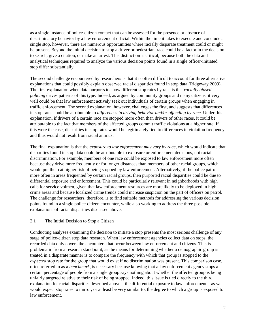as a single instance of police-citizen contact that can be assessed for the presence or absence of discriminatory behavior by a law enforcement official. Within the time it takes to execute and conclude a single stop, however, there are numerous opportunities where racially disparate treatment could or might be present. Beyond the initial decision to stop a driver or pedestrian, race could be a factor in the decision to search, give a citation, or make an arrest. This distinction is critical, because both the data and analytical techniques required to analyze the various decision points found in a single officer-initiated stop differ substantially.

The second challenge encountered by researchers is that it is often difficult to account for three alternative explanations that could possibly explain observed racial disparities found in stop data (Ridgeway 2009). The first explanation when data purports to show different stop rates by race is that *racially biased policing* drives patterns of this type. Indeed, as argued by community groups and many citizens, it very well could be that law enforcement actively seek out individuals of certain groups when engaging in traffic enforcement. The second explanation, however, challenges the first, and suggests that differences in stop rates could be attributable to *differences in driving behavior and/or offending by race*. Under this explanation, if drivers of a certain race are stopped more often than drivers of other races, it could be attributable to the fact that members of the affected groups commit traffic violations at a higher rate. If this were the case, disparities in stop rates would be legitimately tied to differences in violation frequency and thus would not result from racial animus.

The final explanation is that the *exposure to law enforcement may vary by race*, which would indicate that disparities found in stop data could be attributable to exposure or enforcement decisions, not racial discrimination. For example, members of one race could be exposed to law enforcement more often because they drive more frequently or for longer distances than members of other racial groups, which would put them at higher risk of being stopped by law enforcement. Alternatively, if the police patrol more often in areas frequented by certain racial groups, then purported racial disparities could be due to differential exposure and enforcement. This could be particularly relevant in neighborhoods with high calls for service volmen, given that law enforcement resources are more likely to be deployed in high crime areas and because localized crime trends could increase suspicion on the part of officers on patrol. The challenge for researchers, therefore, is to find suitable methods for addressing the various decision points found in a single police-citizen encounter, while also working to address the three possible explanations of racial disparities discussed above.

#### 2.1 The Initial Decision to Stop a Citizen

Conducting analyses examining the decision to initiate a stop presents the most serious challenge of any stage of police-citizen stop data research. When law enforcement agencies collect data on stops, the recorded data only covers the encounters that occur between law enforcement and citizens. This is problematic from a research standpoint, as the means for determining whether a demographic group is treated in a disparate manner is to compare the frequency with which that group is stopped to the *expected* stop rate for the group that would exist if no discrimination was present. This comparison case, often referred to as a *benchmark*, is necessary because knowing that a law enforcement agency stops a certain percentage of people from a single group says nothing about whether the affected group is being unfairly targeted relative to their risk of being stopped. Indeed, this issue is tied directly to the third explanation for racial disparities described above—the differential exposure to law enforcement—as we would expect stop rates to mirror, or at least be very similar to, the degree to which a group is exposed to law enforcement.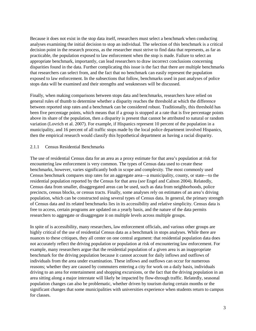Because it does not exist in the stop data itself, researchers must select a benchmark when conducting analyses examining the initial decision to stop an individual. The selection of this benchmark is a critical decision point in the research process, as the researcher must strive to find data that represents, as far as practicable, the population exposed to law enforcement when the stop is made. Failure to select an appropriate benchmark, importantly, can lead researchers to draw incorrect conclusions concerning disparities found in the data. Further complicating this issue is the fact that there are multiple benchmarks that researchers can select from, and the fact that no benchmark can easily represent the population exposed to law enforcement. In the subsections that follow, benchmarks used in past analyses of police stops data will be examined and their strengths and weaknesses will be discussed.

Finally, when making comparisons between stops data and benchmarks, researchers have relied on general rules of thumb to determine whether a disparity reaches the threshold at which the difference between reported stop rates and a benchmark can be considered robust. Traditionally, this threshold has been five percentage points, which means that if a group is stopped at a rate that is five percentage points above its share of the population, then a disparity is present that cannot be attributed to natural or random variation (Lovrich et al. 2007). For example, if Hispanics represent 10 percent of the population in a municipality, and 16 percent of all traffic stops made by the local police department involved Hispanics, then the empirical research would classify this hypothetical department as having a racial disparity.

#### 2.1.1 Census Residential Benchmarks

The use of residential Census data for an area as a proxy estimate for that area's population at risk for encountering law enforcement is very common. The types of Census data used to create these benchmarks, however, varies significantly both in scope and complexity. The most commonly used Census benchmark compares stop rates for an aggregate area—a municipality, county, or state—to the residential population reported by the Census for that area (*see* Engel and Calnon 2004). Relatedly, Census data from smaller, disaggregated areas can be used, such as data from neighborhoods, police precincts, census blocks, or census tracts. Finally, some analyses rely on estimates of an area's driving population, which can be constructed using several types of Census data. In general, the primary strength of Census data and its related benchmarks lies in its accessibility and relative simplicity. Census data is free to access, certain programs are updated on a yearly basis, and the nature of the data permits researchers to aggregate or disaggregate it on multiple levels across multiple groups.

In spite of is accessibility, many researchers, law enforcement officials, and various other groups are highly critical of the use of residential Census data as a benchmark in stops analyses. While there are nuances to these critiques, they all center on one central argument: that residential population data does not accurately reflect the driving population or population at risk of encountering law enforcement. For example, many researchers argue that the residential population of a given area is an inappropriate benchmark for the driving population because it cannot account for daily inflows and outflows of individuals from the area under examination. These inflows and outflows can occur for numerous reasons; whether they are caused by commuters entering a city for work on a daily basis, individuals driving to an area for entertainment and shopping excursions, or the fact that the driving population in an area sitting along a major interstate will likely be impacted by flow-through traffic. Relatedly, seasonal population changes can also be problematic, whether driven by tourism during certain months or the significant changes that some municipalities with universities experience when students return to campus for classes.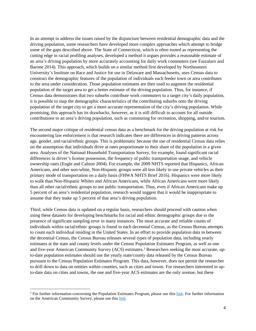In an attempt to address the issues raised by the disjuncture between residential demographic data and the driving population, some researchers have developed more complex approaches which attempt to bridge some of the gaps described above. The State of Connecticut, which is often touted as representing the cutting edge in racial profiling analyses, developed a method it argues provides a reasonable estimate of an area's driving population by more accurately accounting for daily work commuters (see Fazzalaro and Barone 2014). This approach, which builds on a similar method first developed by Northeastern University's Institute on Race and Justice for use in Delaware and Massachusetts, uses Census data to construct the demographic features of the population of individuals each feeder town or area contributes to the area under consideration. Those population estimates are then used to augment the residential population of the target area to get a better estimate of the driving population. Thus, for instance, if Census data demonstrates that two suburbs contribute work commuters to a target city's daily population, it is possible to map the demographic characteristics of the contributing suburbs onto the driving population of the target city to get a more accurate representation of the city's driving population. While promising, this approach has its drawbacks, however, as it is still difficult to account for all outside contributions to an area's driving population, such as commuting for recreation, shopping, and/or tourism.

The second major critique of residential census data as a benchmark for the driving population at risk for encountering law enforcement is that research indicates there are differences in driving patterns across age, gender, and racial/ethnic groups. This is problematic because the use of residential Census data relies on the assumption that individuals drive at rates proportionate to their share of the population in a given area. Analyses of the National Household Transportation Survey, for example, found significant racial differences in driver's license possession, the frequency of public transportation usage, and vehicle ownership rates (Engle and Calnon 2004). For example, the 2009 NHTS reported that Hispanics, African Americans, and other non-white, Non-Hispanic groups were all less likely to use private vehicles as their primary mode of transportation on a daily basis (FHWA NHTS Brief 2016). Hispanics were more likely to walk than Non-Hispanic Whites and African Americans, while African Americans were more likely than all other racial/ethnic groups to use public transportation. Thus, even if African Americans make up 5 percent of an area's residential population, research would suggest that it would be inappropriate to assume that they make up 5 percent of that area's driving population.

Third, while Census data is updated on a regular basis, researchers should proceed with caution when using these datasets for developing benchmarks for racial and ethnic demographic groups due to the presence of significant sampling error in many instances. The most accurate and reliable counts of individuals within racial/ethnic groups is found in each decennial Census, as the Census Bureau attempts to count each individual residing in the United States. In an effort to provide population data in between the decennial Census, the Census Bureau releases several types of population data, including yearly estimates at the state and county levels under the Census Population Estimates Program, as well as one and five-year American Community Survey (ACS) estimates.<sup>[2](#page-4-0)</sup> Researchers seeking the most accurate, upto-date population estimates should use the yearly state/county data released by the Census Bureau pursuant to the Census Population Estimates Program. This data, however, does not permit the researcher to drill down to data on entities within counties, such as cities and towns. For researchers interested in upto-date data on cities and towns, the one and five-year ACS estimates are the only avenue, but these

<span id="page-4-0"></span> $2$  For further information concerning the Population Estimates Program, please use this [link.](https://factfinder.census.gov/faces/nav/jsf/pages/programs.xhtml?program=pep) For further information on the American Community Survey, please use this [link.](https://www.census.gov/programs-surveys/acs/about.html)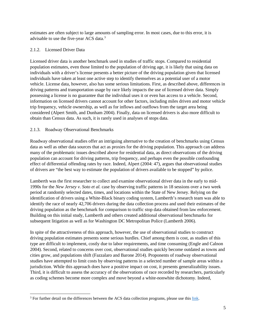estimates are often subject to large amounts of sampling error. In most cases, due to this error, it is advisable to use the five-year ACS data[.3](#page-5-0)

## 2.1.2. Licensed Driver Data

Licensed driver data is another benchmark used in studies of traffic stops. Compared to residential population estimates, even those limited to the population of driving age, it is likely that using data on individuals with a driver's license presents a better picture of the driving population given that licensed individuals have taken at least one active step to identify themselves as a potential user of a motor vehicle. License data, however, also has some serious limitations. First, as described above, differences in driving patterns and transportation usage by race likely impacts the use of licensed driver data. Simply possessing a license is no guarantee that the individual uses it or even has access to a vehicle. Second, information on licensed drivers cannot account for other factors, including miles driven and motor vehicle trip frequency, vehicle ownership, as well as for inflows and outflows from the target area being considered (Alpert Smith, and Dunham 2004). Finally, data on licensed drivers is also more difficult to obtain than Census data. As such, it is rarely used in analyses of stops data.

## 2.1.3. Roadway Observational Benchmarks

l

Roadway observational studies offer an intriguing alternative to the creation of benchmarks using Census data as well as other data sources that act as proxies for the driving population. This approach can address many of the problematic issues described above for residential data, as direct observations of the driving population can account for driving patterns, trip frequency, and perhaps even the possible confounding effect of differential offending rates by race. Indeed, Alpert (2004: 47), argues that observational studies of drivers are "the best way to estimate the population of drivers available to be stopped" by police.

Lamberth was the first researcher to collect and examine observational driver data in the early to mid-1990s for the *New Jersey v. Soto et al.* case by observing traffic patterns in 18 sessions over a two week period at randomly selected dates, times, and locations within the State of New Jersey. Relying on the identification of drivers using a White-Black binary coding system, Lamberth's research team was able to identify the race of nearly 42,706 drivers during the data collection process and used their estimates of the driving population as the benchmark for comparison to traffic stop data obtained from law enforcement. Building on this initial study, Lamberth and others created additional observational benchmarks for subsequent litigation as well as for Washington DC Metropolitan Police (Lamberth 2006).

In spite of the attractiveness of this approach, however, the use of observational studies to construct driving population estimates presents some serious hurdles. Chief among them is cost, as studies of this type are difficult to implement, costly due to labor requirements, and time consuming (Engle and Calnon 2004). Second, related to concerns over cost, observational studies quickly become outdated as towns and cities grow, and populations shift (Fazzalaro and Barone 2014). Proponents of roadway observational studies have attempted to limit costs by observing patterns in a selected number of sample areas within a jurisdiction. While this approach does have a positive impact on cost, it presents generalizability issues. Third, it is difficult to assess the accuracy of the observations of race recorded by researchers, particularly as coding schemes become more complex and move beyond a white-nonwhite dichotomy. Indeed,

<span id="page-5-0"></span><sup>&</sup>lt;sup>3</sup> For further detail on the differences between the ACS data collection programs, please use this [link.](https://www.census.gov/content/dam/Census/library/publications/2018/acs/acs_general_handbook_2018_ch03.pdf)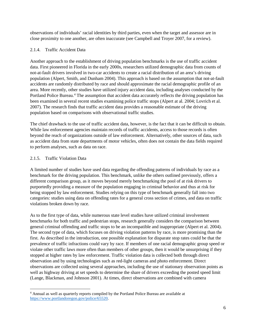observations of individuals' racial identities by third parties, even when the target and assessor are in close proximity to one another, are often inaccurate (see Campbell and Troyer 2007, for a review).

#### 2.1.4. Traffic Accident Data

Another approach to the establishment of driving population benchmarks is the use of traffic accident data. First pioneered in Florida in the early 2000s, researchers utilized demographic data from counts of not-at-fault drivers involved in two-car accidents to create a racial distribution of an area's driving population (Alpert, Smith, and Dunham 2004). This approach is based on the assumption that not-at-fault accidents are randomly distributed by race and should approximate the racial demographic profile of an area. More recently, other studies have utilized injury accident data, including analyses conducted by the Portland Police Bureau.<sup>[4](#page-6-0)</sup> The assumption that accident data accurately reflects the driving population has been examined in several recent studies examining police traffic stops (Alpert at al. 2004; Lovrich et al. 2007). The research finds that traffic accident data provides a reasonable estimate of the driving population based on comparisons with observational traffic studies.

The chief drawback to the use of traffic accident data, however, is the fact that it can be difficult to obtain. While law enforcement agencies maintain records of traffic accidents, access to those records is often beyond the reach of organizations outside of law enforcement. Alternatively, other sources of data, such as accident data from state departments of motor vehicles, often does not contain the data fields required to perform analyses, such as data on race.

#### 2.1.5. Traffic Violation Data

A limited number of studies have used data regarding the offending patterns of individuals by race as a benchmark for the driving population. This benchmark, unlike the others outlined previously, offers a different comparison group, as it moves beyond merely benchmarking the pool of at risk drivers to purportedly providing a measure of the population engaging in criminal behavior and thus at risk for being stopped by law enforcement. Studies relying on this type of benchmark generally fall into two categories: studies using data on offending rates for a general cross section of crimes, and data on traffic violations broken down by race.

As to the first type of data, while numerous state level studies have utilized criminal involvement benchmarks for both traffic and pedestrian stops, research generally considers the comparison between general criminal offending and traffic stops to be an incompatible and inappropriate (Alpert et al. 2004). The second type of data, which focuses on driving violation patterns by race, is more promising than the first. As described in the introduction, one possible explanation for disparate stop rates could be that the prevalence of traffic infractions could vary by race. If members of one racial demographic group speed or violate other traffic laws more often than members of other groups, then it would be unsurprising if they stopped at higher rates by law enforcement. Traffic violation data is collected both through direct observation and by using technologies such as red-light cameras and photo enforcement. Direct observations are collected using several approaches, including the use of stationary observation points as well as highway driving at set speeds to determine the share of drivers exceeding the posted speed limit (Lange, Blackman, and Johnson 2001). At times, direct observations are combined with camera

<span id="page-6-0"></span>l <sup>4</sup> Annual as well as quarterly reports compiled by the Portland Police Bureau are available at [https://www.portlandoregon.gov/police/65520.](https://www.portlandoregon.gov/police/65520)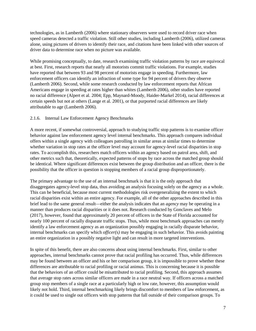technologies, as in Lamberth (2006) where stationary observers were used to record driver race when speed cameras detected a traffic violation. Still other studies, including Lamberth (2006), utilized cameras alone, using pictures of drivers to identify their race, and citations have been linked with other sources of driver data to determine race when no picture was available.

While promising conceptually, to date, research examining traffic violation patterns by race are equivocal at best. First, research reports that nearly all motorists commit traffic violations. For example, studies have reported that between 93 and 98 percent of motorists engage in speeding. Furthermore, law enforcement officers can identify an infraction of some type for 94 percent of drivers they observe (Lamberth 2006). Second, while some research conducted by law enforcement reports that African Americans engage in speeding at rates higher than whites (Lamberth 2006), other studies have reported no racial difference (Alpert et al. 2004; Epp, Maynard-Moody, Haider-Markel 2014), racial differences at certain speeds but not at others (Lange et al. 2001), or that purported racial differences are likely attributable to age (Lamberth 2006).

#### 2.1.6. Internal Law Enforcement Agency Benchmarks

A more recent, if somewhat controversial, approach to studying traffic stop patterns is to examine officer behavior against law enforcement agency level internal benchmarks. This approach compares individual offers within a single agency with colleagues patrolling in similar areas at similar times to determine whether variation in stop rates at the officer level may account for agency-level racial disparities in stop rates. To accomplish this, researchers match officers within an agency based on patrol area, shift, and other metrics such that, theoretically, expected patterns of stops by race across the matched group should be identical. Where significant differences exist between the group distribution and an officer, there is the possibility that the officer in question is stopping members of a racial group disproportionately.

The primary advantage to the use of an internal benchmark is that it is the only approach that disaggregates agency-level stop data, thus avoiding an analysis focusing solely on the agency as a whole. This can be beneficial, because most current methodologies risk overgeneralizing the extent to which racial disparities exist within an entire agency. For example, all of the other approaches described in this brief lead to the same general result—either the analysis indicates that an *agency* may be operating in a manner than produces racial disparities or it does not. Research conducted by Gonclaves and Melo (2017), however, found that approximately 20 percent of officers in the State of Florida accounted for nearly 100 percent of racially disparate traffic stops. Thus, while most benchmark approaches can merely identify a law enforcement agency as an organization possibly engaging in racially disparate behavior, internal benchmarks can specify which *officer(s)* may be engaging in such behavior. This avoids painting an entire organization in a possibly negative light and can result in more targeted interventions.

In spite of this benefit, there are also concerns about using internal benchmarks. First, similar to other approaches, internal benchmarks cannot prove that racial profiling has occurred. Thus, while differences may be found between an officer and his or her comparison group, it is impossible to prove whether these differences are attributable to racial profiling or racial animus. This is concerning because it is possible that the behaviors of an officer could be misattributed to racial profiling. Second, this approach assumes that average stop rates across similar officers are made in a race neutral way. If officers across a matched group stop members of a single race at a particularly high or low rate, however, this assumption would likely not hold. Third, internal benchmarking likely brings discomfort to members of law enforcement, as it could be used to single out officers with stop patterns that fall outside of their comparison groups. To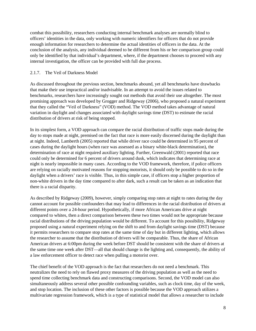combat this possibility, researchers conducting internal benchmark analyses are normally blind to officers' identities in the data, only working with numeric identifiers for officers that do not provide enough information for researchers to determine the actual identities of officers in the data. At the conclusion of the analysis, any individual deemed to be different from his or her comparison group could only be identified by that individual's department, where, if the department chooses to proceed with any internal investigation, the officer can be provided with full due process.

#### 2.1.7. The Veil of Darkness Model

As discussed throughout the previous section, benchmarks abound, yet all benchmarks have drawbacks that make their use impractical and/or inadvisable. In an attempt to avoid the issues related to benchmarks, researchers have increasingly sought out methods that avoid their use altogether. The most promising approach was developed by Grogger and Ridgeway (2006), who proposed a natural experiment that they called the "Veil of Darkness" (VOD) method. The VOD method takes advantage of natural variation in daylight and changes associated with daylight savings time (DST) to estimate the racial distribution of drivers at risk of being stopped.

In its simplest form, a VOD approach can compare the racial distribution of traffic stops made during the day to stops made at night, premised on the fact that race is more easily discerned during the daylight than at night. Indeed, Lamberth (2005) reported that while driver race could be determined in 95 percent of cases during the daylight hours (when race was assessed as a binary white-black determination), the determination of race at night required auxiliary lighting. Further, Greenwald (2001) reported that race could only be determined for 6 percent of drivers around dusk, which indicates that determining race at night is nearly impossible in many cases. According to the VOD framework, therefore, if police officers are relying on racially motivated reasons for stopping motorists, it should only be possible to do so in the daylight when a drivers' race is visible. Thus, in this simple case, if officers stop a higher proportion of non-white drivers in the day time compared to after dark, such a result can be taken as an indication that there is a racial disparity.

As described by Ridgeway (2009), however, simply comparing stop rates at night to rates during the day cannot account for possible confounders that may lead to differences in the racial distribution of drivers at different points over a 24-hour period. Hypothetically, if more African Americans drive at night compared to whites, then a direct comparison between these two times would not be appropriate because racial distributions of the driving population would be different. To account for this possibility, Ridgeway proposed using a natural experiment relying on the shift to and from daylight savings time (DST) because it permits researchers to compare stop rates at the same time of day but in different lighting, which allows the researcher to assume that the distribution of drivers will be comparable. Thus, the share of African American drivers at 6:00pm during the week before DST should be consistent with the share of drivers at the same time one week after DST—all that should change is the lighting and, consequently, the ability of a law enforcement officer to detect race when pulling a motorist over.

The chief benefit of the VOD approach is the fact that researchers do not need a benchmark. This neutralizes the need to rely on flawed proxy measures of the driving population as well as the need to spend time collecting benchmark data and constructing comparisons. Second, the VOD model can also simultaneously address several other possible confounding variables, such as clock time, day of the week, and stop location. The inclusion of these other factors is possible because the VOD approach utilizes a multivariate regression framework, which is a type of statistical model that allows a researcher to include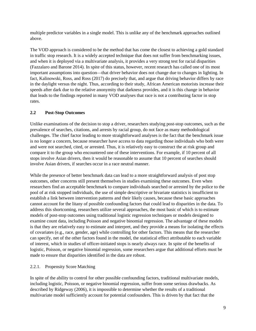multiple predictor variables in a single model. This is unlike any of the benchmark approaches outlined above.

The VOD approach is considered to be the method that has come the closest to achieving a gold standard in traffic stop research. It is a widely accepted technique that does not suffer from benchmarking issues, and when it is deployed via a multivariate analysis, it provides a very strong test for racial disparities (Fazzalaro and Barone 2014). In spite of this status, however, recent research has called one of its most important assumptions into question—that driver behavior does not change due to changes in lighting. In fact, Kalinowski, Ross, and Ross (2017) do precisely that, and argue that driving behavior differs by race in the daylight versus the night. Thus, according to their study, African American motorists increase their speeds after dark due to the relative anonymity that darkness provides, and it is this change in behavior that leads to the findings reported in many VOD analyses that race is not a contributing factor in stop rates.

## **2.2 Post-Stop Outcomes**

Unlike examinations of the decision to stop a driver, researchers studying post-stop outcomes, such as the prevalence of searches, citations, and arrests by racial group, do not face as many methodological challenges. The chief factor leading to more straightforward analyses is the fact that the benchmark issue is no longer a concern, because researcher have access to data regarding those individuals who both were and were not searched, cited, or arrested. Thus, it is relatively easy to construct the at risk group and compare it to the group who encountered one of these interventions. For example, if 10 percent of all stops involve Asian drivers, then it would be reasonable to assume that 10 percent of searches should involve Asian drivers, if searches occur in a race neutral manner.

While the presence of better benchmark data can lead to a more straightforward analysis of post stop outcomes, other concerns still present themselves in studies examining these outcomes. Even when researchers find an acceptable benchmark to compare individuals searched or arrested by the police to the pool of at risk stopped individuals, the use of simple descriptive or bivariate statistics is insufficient to establish a link between intervention patterns and their likely causes, because these basic approaches cannot account for the litany of possible confounding factors that could lead to disparities in the data. To address this shortcoming, researchers utilize several approaches, the most basic of which is to estimate models of post-stop outcomes using traditional logistic regression techniques or models designed to examine count data, including Poisson and negative binomial regression. The advantage of these models is that they are relatively easy to estimate and interpret, and they provide a means for isolating the effects of covariates (e.g., race, gender, age) while controlling for other factors. This means that the researcher can specify, net of the other factors found in the model, the statistical effect attributable to each variable of interest, which in studies of officer-initiated stops is nearly always race. In spite of the benefits of logistic, Poisson, or negative binomial regression, some researchers argue that additional efforts must be made to ensure that disparities identified in the data are robust.

## 2.2.1. Propensity Score Matching

In spite of the ability to control for other possible confounding factors, traditional multivariate models, including logistic, Poisson, or negative binomial regression, suffer from some serious drawbacks. As described by Ridgeway (2006), it is impossible to determine whether the results of a traditional multivariate model sufficiently account for potential confounders. This is driven by that fact that the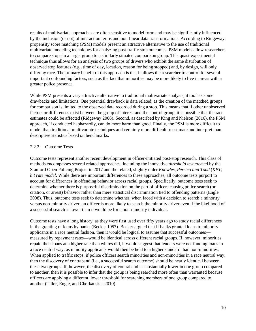results of multivariate approaches are often sensitive to model form and may be significantly influenced by the inclusion (or not) of interaction terms and non-linear data transformations. According to Ridgeway, propensity score matching (PSM) models present an attractive alternative to the use of traditional multivariate modeling techniques for analyzing post-traffic stop outcomes. PSM models allow researchers to compare stops in a target group to a similarly situated comparison group. This quasi-experimental technique thus allows for an analysis of two groups of drivers who exhibit the same distribution of observed stop features (e.g., time of day, location, reason for being stopped) and, by design, will only differ by race. The primary benefit of this approach is that it allows the researcher to control for several important confounding factors, such as the fact that minorities may be more likely to live in areas with a greater police presence.

While PSM presents a very attractive alternative to traditional multivariate analysis, it too has some drawbacks and limitations. One potential drawback is data related, as the creation of the matched groups for comparison is limited to the observed data recorded during a stop. This means that if other unobserved factors or differences exist between the group of interest and the control group, it is possible that the race estimates could be affected (Ridgeway 2006). Second, as described by King and Nielson (2016), the PSM approach, if conducted haphazardly, can do more harm than good. Finally, the PSM is more difficult to model than traditional multivariate techniques and certainly more difficult to estimate and interpret than descriptive statistics based on benchmarks.

#### 2.2.2. Outcome Tests

Outcome tests represent another recent development in officer-initiated post-stop research. This class of methods encompasses several related approaches, including the innovative *threshold test* created by the Stanford Open Policing Project in 2017 and the related, slightly older *Knowles, Persico and Todd* (*KPT) hit rate model*. While there are important differences to these approaches, all outcome tests purport to account for differences in offending behavior across racial groups. Specifically, outcome tests seek to determine whether there is purposeful discrimination on the part of officers causing police search (or citation, or arrest) behavior rather than mere statistical discrimination tied to offending patterns (Engle 2008). Thus, outcome tests seek to determine whether, when faced with a decision to search a minority versus non-minority driver, an officer is more likely to search the minority driver even if the likelihood of a successful search is lower than it would be for a non-minority individual.

Outcome tests have a long history, as they were first used over fifty years ago to study racial differences in the granting of loans by banks (Becker 1957). Becker argued that if banks granted loans to minority applicants in a race neutral fashion, then it would be logical to assume that successful outcomes measured by repayment rates—would be identical across different racial groups. If, however, minorities repaid their loans at a higher rate than whites did, it would suggest that lenders were not funding loans in a race neutral way, as minority applicants would then be held to a higher standard than non-minorities. When applied to traffic stops, if police officers search minorities and non-minorities in a race neutral way, then the discovery of contraband (i.e., a successful search outcome) should be nearly identical between these two groups. If, however, the discovery of contraband is substantially lower in one group compared to another, then it is possible to infer that the group is being searched more often than warranted because officers are applying a different, lower threshold for searching members of one group compared to another (Tiller, Engle, and Cherkauskas 2010).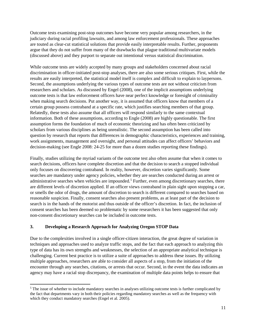Outcome tests examining post-stop outcomes have become very popular among researchers, in the judiciary during racial profiling lawsuits, and among law enforcement professionals. These approaches are touted as clear-cut statistical solutions that provide easily interpretable results. Further, proponents argue that they do not suffer from many of the drawbacks that plague traditional multivariate models (discussed above) and they purport to separate out intentional versus statistical discrimination.

While outcome tests are widely accepted by many groups and stakeholders concerned about racial discrimination in officer-initiated post-stop analyses, there are also some serious critiques. First, while the results are easily interpreted, the statistical model itself is complex and difficult to explain to laypersons. Second, the assumptions underlying the various types of outcome tests are not without criticism from researchers and scholars. As discussed by Engel (2008), one of the implicit assumptions underlying outcome tests is that law enforcement officers have near perfect knowledge or foresight of criminality when making search decisions. Put another way, it is assumed that officers know that members of a certain group possess contraband at a specific rate, which justifies searching members of that group. Relatedly, these tests also assume that all officers will respond similarly to the same contextual information. Both of these assumptions, according to Engle (2008) are highly questionable. The first assumption forms the foundation of much of economic theorizing and has often been criticized by scholars from various disciplines as being unrealistic. The second assumption has been called into question by research that reports that differences in demographic characteristics, experiences and training, work assignments, management and oversight, and personal attitudes can affect officers' behaviors and decision-making (see Engle 2008: 24-25 for more than a dozen studies reporting these findings).

Finally, studies utilizing the myriad variants of the outcome test also often assume that when it comes to search decisions, officers have complete discretion and that the decision to search a stopped individual only focuses on discovering contraband. In reality, however, discretion varies significantly. Some searches are mandatory under agency policies, whether they are searches conducted during an arrest or administrative searches when vehicles are impounded.<sup>[5](#page-11-0)</sup> Further, even among discretionary searches, there are different levels of discretion applied. If an officer views contraband in plain sight upon stopping a car, or smells the odor of drugs, the amount of discretion to search is different compared to searches based on reasonable suspicion. Finally, consent searches also present problems, as at least part of the decision to search is in the hands of the motorist and thus outside of the officer's discretion. In fact, the inclusion of consent searches has been deemed so problematic by some researchers it has been suggested that only non-consent discretionary searches can be included in outcome tests.

## **3. Developing a Research Approach for Analyzing Oregon STOP Data**

 $\overline{\phantom{a}}$ 

Due to the complexities involved in a single officer-citizen interaction, the great degree of variation in techniques and approaches used to analyze traffic stops, and the fact that each approach to analyzing this type of data has its own strengths and weaknesses, the selection of an appropriate analytical technique is challenging. Current best practice is to utilize a suite of approaches to address these issues. By utilizing multiple approaches, researchers are able to consider all aspects of a stop, from the initiation of the encounter through any searches, citations, or arrests that occur. Second, in the event the data indicates an agency may have a racial stop discrepancy, the examination of multiple data points helps to ensure that

<span id="page-11-0"></span><sup>&</sup>lt;sup>5</sup> The issue of whether to include mandatory searches in analyses utilizing outcome tests is further complicated by the fact that departments vary in both their policies regarding mandatory searches as well as the frequency with which they conduct mandatory searches (Engel et al. 2005).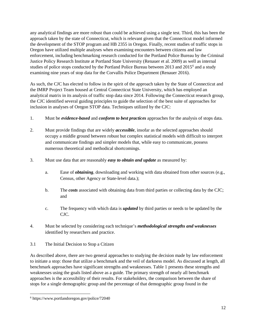any analytical findings are more robust than could be achieved using a single test. Third, this has been the approach taken by the state of Connecticut, which is relevant given that the Connecticut model informed the development of the STOP program and HB 2355 in Oregon. Finally, recent studies of traffic stops in Oregon have utilized multiple analyses when examining encounters between citizens and law enforcement, including benchmarking research conducted for the Portland Police Bureau by the Criminal Justice Policy Research Institute at Portland State University (Renauer et al. 2009) as well as internal studies of police stops conducted by the Portland Police Bureau between 2013 and 2015<sup>[6](#page-12-0)</sup> and a study examining nine years of stop data for the Corvallis Police Department (Renauer 2016).

As such, the CJC has elected to follow in the spirit of the approach taken by the State of Connecticut and the IMRP Project Team housed at Central Connecticut State University, which has employed an analytical matrix in its analysis of traffic stop data since 2014. Following the Connecticut research group, the CJC identified several guiding principles to guide the selection of the best suite of approaches for inclusion in analyses of Oregon STOP data. Techniques utilized by the CJC:

- 1. Must be *evidence-based* and *conform to best practices* approaches for the analysis of stops data.
- 2. Must provide findings that are widely *accessible*, insofar as the selected approaches should occupy a middle ground between robust but complex statistical models with difficult to interpret and communicate findings and simpler models that, while easy to communicate, possess numerous theoretical and methodical shortcomings.
- 3. Must use data that are reasonably *easy to obtain and update* as measured by:
	- a. Ease of *obtaining*, downloading and working with data obtained from other sources (e.g., Census, other Agency or State-level data.);
	- b. The *costs* associated with obtaining data from third parties or collecting data by the CJC; and
	- c. The frequency with which data is *updated* by third parties or needs to be updated by the CJC.
- 4. Must be selected by considering each technique's *methodological strengths and weaknesses* identified by researchers and practice.
- 3.1 The Initial Decision to Stop a Citizen

As described above, there are two general approaches to studying the decision made by law enforcement to initiate a stop: those that utilize a benchmark and the veil of darkness model. As discussed at length, all benchmark approaches have significant strengths and weaknesses. Table 1 presents these strengths and weaknesses using the goals listed above as a guide. The primary strength of nearly all benchmark approaches is the accessibility of their results. For stakeholders, the comparison between the share of stops for a single demographic group and the percentage of that demographic group found in the

<span id="page-12-0"></span><sup>6</sup> https://www.portlandoregon.gov/police/72040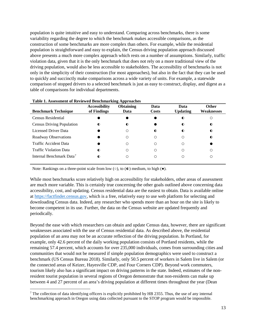population is quite intuitive and easy to understand. Comparing across benchmarks, there is some variability regarding the degree to which the benchmark makes accessible comparisons, as the construction of some benchmarks are more complex than others. For example, while the residential population is straightforward and easy to explain, the Census driving population approach discussed above presents a much more complex approach which rests on a number of assumptions. Similarly, traffic violation data, given that it is the only benchmark that does not rely on a more traditional view of the driving population, would also be less accessible to stakeholders. The accessibility of benchmarks is not only in the simplicity of their construction (for most approaches), but also in the fact that they can be used to quickly and succinctly make comparisons across a wide variety of units. For example, a statewide comparison of stopped drivers to a selected benchmark is just as easy to construct, display, and digest as a table of comparisons for individual departments.

| <b>Benchmark Technique</b>           | <b>Accessibility</b><br>of Findings | <b>Obtaining</b><br>Data | Data<br><b>Costs</b> | Data<br><b>Updating</b> | <b>Other</b><br><b>Weaknesses</b> |
|--------------------------------------|-------------------------------------|--------------------------|----------------------|-------------------------|-----------------------------------|
| Census Residential                   |                                     |                          |                      | $\bullet$               |                                   |
| <b>Census Driving Population</b>     | $\bullet$                           | $\bullet$                |                      | $\bullet$               | $\bullet$                         |
| Licensed Driver Data                 |                                     | С                        | $\bullet$            | $\bullet$               | $\bullet$                         |
| Roadway Observations                 |                                     | С                        | ∩                    | O                       | $\bullet$                         |
| <b>Traffic Accident Data</b>         |                                     | С                        | ∩                    | ∩                       |                                   |
| <b>Traffic Violation Data</b>        | $\bullet$                           | С                        | ∩                    | ∩                       | Ω                                 |
| Internal Benchmark Data <sup>7</sup> | $\bullet$                           |                          |                      | Ω                       |                                   |

#### **Table 1. Assessment of Reviewed Benchmarking Approaches**

Note: Rankings on a three-point scale from low  $(\circ)$ , to  $(\bullet)$  medium, to high  $(\bullet)$ .

While most benchmarks score relatively high on accessibility for stakeholders, other areas of assessment are much more variable. This is certainly true concerning the other goals outlined above concerning data accessibility, cost, and updating. Census residential data are the easiest to obtain. Data is available online at [https://factfinder.census.gov,](https://factfinder.census.gov/) which is a free, relatively easy to use web platform for selecting and downloading Census data. Indeed, any researcher who spends more than an hour on the site is likely to become competent in its use. Further, the data on the Census website are updated frequently and periodically.

Beyond the ease with which researchers can obtain and update Census data, however, there are significant weaknesses associated with the use of Census residential data. As described above, the residential population of an area may not be an accurate reflection of the driving population. In Portland, for example, only 42.6 percent of the daily working population consists of Portland residents, while the remaining 57.4 percent, which accounts for over 235,000 individuals, comes from surrounding cities and communities that would not be measured if simple population demographics were used to construct a benchmark (US Census Bureau 2018). Similarly, only 50.5 percent of workers in Salem live in Salem (or the connected areas of Keizer, Hayesville CDP, and Four Corners CDP). Beyond work commuters, tourism likely also has a significant impact on driving patterns in the state. Indeed, estimates of the nonresident tourist population in several regions of Oregon demonstrate that non-residents can make up between 4 and 27 percent of an area's driving population at different times throughout the year (Dean

<span id="page-13-0"></span><sup>&</sup>lt;sup>7</sup> The collection of data identifying officers is explicitly prohibited by HB 2355. Thus, the use of any internal benchmarking approach in Oregon using data collected pursuant to the STOP program would be impossible.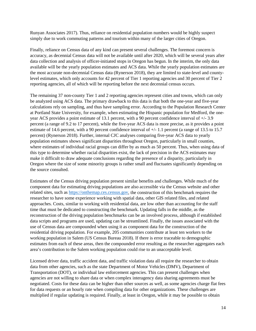Runyan Associates 2017). Thus, reliance on residential population numbers would be highly suspect simply due to work commuting patterns and tourism within many of the larger cities of Oregon.

Finally, reliance on Census data of any kind can present several challenges. The foremost concern is accuracy, as decennial Census data will not be available until after 2020, which will be several years after data collection and analysis of officer-initiated stops in Oregon has begun. In the interim, the only data available will be the yearly population estimates and ACS data. While the yearly population estimates are the most accurate non-decennial Census data (Rynerson 2018), they are limited to state-level and countylevel estimates, which only accounts for 42 percent of Tier 1 reporting agencies and 30 percent of Tier 2 reporting agencies, all of which will be reporting before the next decennial census occurs.

The remaining 37 non-county Tier 1 and 2 reporting agencies represent cities and towns, which can only be analyzed using ACS data. The primary drawback to this data is that both the one-year and five-year calculations rely on sampling, and thus have sampling error. According to the Population Research Center at Portland State University, for example, when estimating the Hispanic population for Medford, the oneyear ACS provides a point estimate of 13.1 percent, with a 90 percent confidence interval of +/- 3.9 percent (a range of 9.2 to 17 percent), while the five-year ACS data is more precise, as it provides a point estimate of 14.6 percent, with a 90 percent confidence interval of  $+/-1.1$  percent (a range of 13.5 to 15.7 percent) (Rynerson 2018). Further, internal CJC analyses comparing five-year ACS data to yearly population estimates shows significant disparities throughout Oregon, particularly in small counties, where estimates of individual racial groups can differ by as much as 50 percent. Thus, when using data of this type to determine whether racial disparities exist, the lack of precision in the ACS estimates may make it difficult to draw adequate conclusions regarding the presence of a disparity, particularly in Oregon where the size of some minority groups is rather small and fluctuates significantly depending on the source consulted.

Estimates of the Census driving population present similar benefits and challenges. While much of the component data for estimating driving populations are also accessible via the Census website and other related sites, such as [https://onthemap.ces.census.gov,](https://onthemap.ces.census.gov/) the construction of this benchmark requires the researcher to have some experience working with spatial data, other GIS related files, and related approaches. Costs, similar to working with residential data, are low other than accounting for the staff time that must be dedicated to constructing the benchmark. Updating falls in the middle, as the reconstruction of the driving population benchmarks can be an involved process, although if established data scripts and programs are used, updating can be streamlined. Finally, the issues associated with the use of Census data are compounded when using it as component data for the construction of the residential driving population. For example, 205 communities contribute at least ten workers to the working population in Salem (US Census Bureau 2018). If there is error traceable to demographic estimates from each of these areas, then the compounded error resulting as the researcher aggregates each area's contribution to the Salem working population could rise to an unacceptable level.

Licensed driver data, traffic accident data, and traffic violation data all require the researcher to obtain data from other agencies, such as the state Department of Motor Vehicles (DMV), Department of Transportation (DOT), or individual law enforcement agencies. This can present challenges when agencies are not willing to share data or when complex interagency data sharing agreements must be negotiated. Costs for these data can be higher than other sources as well, as some agencies charge flat fees for data requests or an hourly rate when compiling data for other organizations. These challenges are multiplied if regular updating is required. Finally, at least in Oregon, while it may be possible to obtain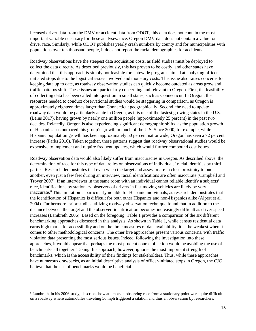licensed driver data from the DMV or accident data from ODOT, this data does not contain the most important variable necessary for these analyses: race. Oregon DMV data does not contain a value for driver race. Similarly, while ODOT publishes yearly crash numbers by county and for municipalities with populations over ten thousand people, it does not report the racial demographics for accidents.

Roadway observations have the steepest data acquisition costs, as field studies must be deployed to collect the data directly. As described previously, this has proven to be costly, and other states have determined that this approach is simply not feasible for statewide programs aimed at analyzing officerinitiated stops due to the logistical issues involved and monetary costs. This issue also raises concerns for keeping data up to date, as roadway observation studies can quickly become outdated as areas grow and traffic patterns shift. These issues are particularly concerning and relevant to Oregon. First, the feasibility of collecting data has been called into question in small states, such as Connecticut. In Oregon, the resources needed to conduct observational studies would be staggering in comparison, as Oregon is approximately eighteen times larger than Connecticut geographically. Second, the need to update roadway data would be particularly acute in Oregon, as it is one of the fastest growing states in the U.S. (Leins 2017), having grown by nearly one million people (approximately 25 percent) in the past two decades. Relatedly, Oregon is also experiencing significant demographic shifts, as the population growth of Hispanics has outpaced this group's growth in much of the U.S. Since 2000, for example, while Hispanic population growth has been approximately 50 percent nationwide, Oregon has seen a 72 percent increase (Parks 2016). Taken together, these patterns suggest that roadway observational studies would be expensive to implement and require frequent updates, which would further compound cost issues.

Roadway observation data would also likely suffer from inaccuracies in Oregon. As described above, the determination of race for this type of data relies on observations of individuals' racial identities by third parties. Research demonstrates that even when the target and assessor are in close proximity to one another, even just a few feet during an interview, racial identifications are often inaccurate (Campbell and Troyer 2007). If an interviewer in the same room with an individual cannot reliable identify a subjects' race, identifications by stationary observers of drivers in fast moving vehicles are likely be very inaccurate[.8](#page-15-0) This limitation is particularly notable for Hispanic individuals, as research demonstrates that the identification of Hispanics is difficult for both other Hispanics and non-Hispanics alike (Alpert et al. 2004). Furthermore, prior studies utilizing roadway observation technique found that in addition to the distance between the target and the observer, identification becomes increasingly difficult as driver speed increases (Lambreth 2006). Based on the foregoing, Table 1 provides a comparison of the six different benchmarking approaches discussed in this analysis. As shown in Table 1, while census residential data earns high marks for accessibility and on the three measures of data availability, it is the weakest when it comes to other methodological concerns. The other five approaches present various concerns, with traffic violation data presenting the most serious issues. Indeed, following the investigation into these approaches, it would appear that perhaps the most prudent course of action would be avoiding the use of benchmarks all together. Taking this approach, however, ignores the most important strength of benchmarks, which is the accessibility of their findings for stakeholders. Thus, while these approaches have numerous drawbacks, as an initial descriptive analysis of officer-initiated stops in Oregon, the CJC believe that the use of benchmarks would be beneficial.

<span id="page-15-0"></span><sup>8</sup> Lambreth, in his 2006 study, describes how attempts at observing race from a stationary point were quite difficult on a roadway where automobiles traveling 56 mph triggered a citation and thus an observation by researchers.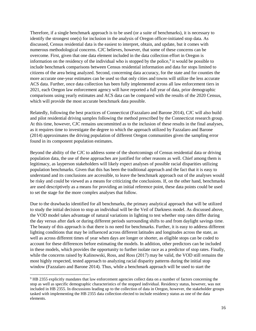Therefore, if a single benchmark approach is to be used (or a suite of benchmarks), it is necessary to identify the strongest one(s) for inclusion in the analysis of Oregon officer-initiated stop data. As discussed, Census residential data is the easiest to interpret, obtain, and update, but it comes with numerous methodological concerns. CJC believes, however, that some of these concerns can be overcome. First, given that one data element included in the data collection effort in Oregon is information on the residency of the individual who is stopped by the police, $9$  it would be possible to include benchmark comparisons between Census residential information and data for stops limited to citizens of the area being analyzed. Second, concerning data accuracy, for the state and for counties the more accurate one-year estimates can be used so that only cities and towns will utilize the less accurate ACS data. Further, once data collection has been fully implemented across all law enforcement tiers in 2021, each Oregon law enforcement agency will have reported a full year of data, prior demographic comparisons using yearly estimates and ACS data can be compared with the results of the 2020 Census, which will provide the most accurate benchmark data possible.

Relatedly, following the best practices of Connecticut (Fazzalaro and Barone 2014), CJC will also build and pilot residential driving samples following the method prescribed by the Connecticut research group. At this time, however, CJC remains uncommitted as to the inclusion of these results in the final analyses, as it requires time to investigate the degree to which the approach utilized by Fazzalaro and Barone (2014) approximates the driving population of different Oregon communities given the sampling error found in its component population estimates.

Beyond the ability of the CJC to address some of the shortcomings of Census residential data or driving population data, the use of these approaches are justified for other reasons as well. Chief among them is legitimacy, as layperson stakeholders will likely expect analyses of possible racial disparities utilizing population benchmarks. Given that this has been the traditional approach and the fact that it is easy to understand and its conclusions are accessible, to leave the benchmark approach out of the analyses would be risky and could be viewed as a means for criticizing the conclusions. If, on the other hand, benchmarks are used descriptively as a means for providing an initial reference point, these data points could be used to set the stage for the more complex analyses that follow.

Due to the drawbacks identified for all benchmarks, the primary analytical approach that will be utilized to study the initial decision to stop an individual will be the Veil of Darkness model. As discussed above, the VOD model takes advantage of natural variations in lighting to test whether stop rates differ during the day versus after dark or during different periods surrounding shifts to and from daylight savings time. The beauty of this approach is that there is no need for benchmarks. Further, it is easy to address different lighting conditions that may be influenced across different latitudes and longitudes across the state, as well as across different times of year when days are longer or shorter, as eligible stops can be coded to account for these differences before estimating the models. In addition, other predictors can be included in these models, which provides the opportunity to further isolate race as a predictor of stop rates. Finally, while the concerns raised by Kalinowski, Ross, and Ross (2017) may be valid, the VOD still remains the most highly respected, tested approach to analyzing racial disparity patterns during the initial stop window (Fazzalaro and Barone 2014). Thus, while a benchmark approach will be used to start the

 $\overline{\phantom{a}}$ 

<span id="page-16-0"></span><sup>9</sup> HB 2355 explicitly mandates that law enforcement agencies collect data on a number of factors concerning the stop as well as specific demographic characteristics of the stopped individual. Residency status, however, was not included in HB 2355. In discussions leading up to the collection of data in Oregon, however, the stakeholder groups tasked with implementing the HB 2355 data collection elected to include residency status as one of the data elements.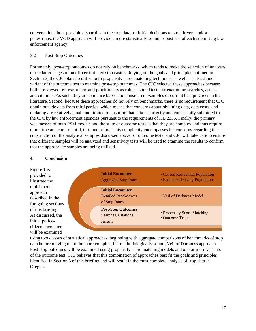conversation about possible disparities in the stop data for initial decisions to stop drivers and/or pedestrians, the VOD approach will provide a more statistically sound, robust test of each submitting law enforcement agency.

## 3.2 Post-Stop Outcomes

Fortunately, post-stop outcomes do not rely on benchmarks, which tends to make the selection of analyses of the latter stages of an officer-initiated stop easier. Relying on the goals and principles outlined in Section 3, the CJC plans to utilize both propensity score matching techniques as well as at least one variant of the outcome test to examine post-stop outcomes. The CJC selected these approaches because both are viewed by researchers and practitioners as robust, sound tests for examining searches, arrests, and citations. As such, they are evidence based and considered examples of current best practices in the literature. Second, because these approaches do not rely on benchmarks, there is no requirement that CJC obtain outside data from third parties, which means that concerns about obtaining data, data costs, and updating are relatively small and limited to ensuring that data is correctly and consistently submitted to the CJC by law enforcement agencies pursuant to the requirements of HB 2355. Finally, the primary weaknesses of both PSM models and the suite of outcome tests is that they are complex and thus require more time and care to build, test, and refine. This complexity encompasses the concerns regarding the construction of the analytical samples discussed above for outcome tests, and CJC will take care to ensure that different samples will be analyzed and sensitivity tests will be used to examine the results to confirm that the appropriate samples are being utilized.

#### **4. Conclusion**



using two classes of statistical approaches, beginning with aggregate comparisons of benchmarks of stop data before moving on to the more complex, but methodologically sound, Veil of Darkness approach. Post-stop outcomes will be examined using propensity score matching models and one or more variants of the outcome test. CJC believes that this combination of approaches best fit the goals and principles identified in Section 3 of this briefing and will result in the most complete analysis of stop data in Oregon.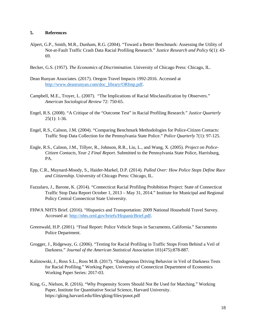#### **5. References**

- Alpert, G.P., Smith, M.R., Dunham, R.G. (2004). "Toward a Better Benchmark: Assessing the Utility of Not-at-Fault Traffic Crash Data Racial Profiling Research." *Justice Research and Policy* 6(1): 43- 69.
- Becker, G.S. (1957). *The Economics of Discrimination*. University of Chicago Press: Chicago, IL.
- Dean Runyan Associates. (2017). Oregon Travel Impacts 1992-2016. Accessed at [http://www.deanrunyan.com/doc\\_library/ORImp.pdf.](http://www.deanrunyan.com/doc_library/ORImp.pdf)
- Campbell, M.E., Troyer, L. (2007). "The Implications of Racial Misclassification by Observers." *American Sociological Review* 72: 750-65.
- Engel, R.S. (2008). "A Critique of the "Outcome Test" in Racial Profiling Research." *Justice Quarterly* 25(1): 1-36.
- Engel, R.S., Calnon, J.M. (2004). "Comparing Benchmark Methodologies for Police-Citizen Contacts: Traffic Stop Data Collection for the Pennsylvania State Police." *Police Quarterly* 7(1): 97-125.
- Engle, R.S., Calnon, J.M., Tillyer, R., Johnson, R.R., Liu, L., and Wang, X. (2005). *Project on Police-Citizen Contacts, Year 2 Final Report*. Submitted to the Pennsylvania State Police, Harrisburg, PA.
- Epp, C.R., Maynard-Moody, S., Haider-Markel, D.P. (2014). *Pulled Over: How Police Stops Define Race and Citizenship*. University of Chicago Press: Chicago, IL.
- Fazzalaro, J., Barone, K. (2014). "Connecticut Racial Profiling Prohibition Project: State of Connecticut Traffic Stop Data Report October 1, 2013 – May 31, 2014." Institute for Municipal and Regional Policy Central Connecticut State University.
- FHWA NHTS Brief. (2016). "Hispanics and Transportation: 2009 National Household Travel Survey. Accessed at: [http://nhts.ornl.gov/briefs/HispanicBrief.pdf.](http://nhts.ornl.gov/briefs/HispanicBrief.pdf)
- Greenwald, H.P. (2001). "Final Report: Police Vehicle Stops in Sacramento, California." Sacramento Police Department.
- Grogger, J., Ridgeway, G. (2006). "Testing for Racial Profiling in Traffic Stops From Behind a Veil of Darkness." *Journal of the American Statistical Association* 101(475):878-887.
- Kalinowski, J., Ross S.L., Ross M.B. (2017). "Endogenous Driving Behavior in Veil of Darkness Tests for Racial Profiling." Working Paper, University of Connecticut Department of Economics Working Paper Series: 2017-03.
- King, G., Nielson, R. (2016). "Why Propensity Scores Should Not Be Used for Matching." Working Paper, Institute for Quantitative Social Science, Harvard University. https://gking.harvard.edu/files/gking/files/psnot.pdf